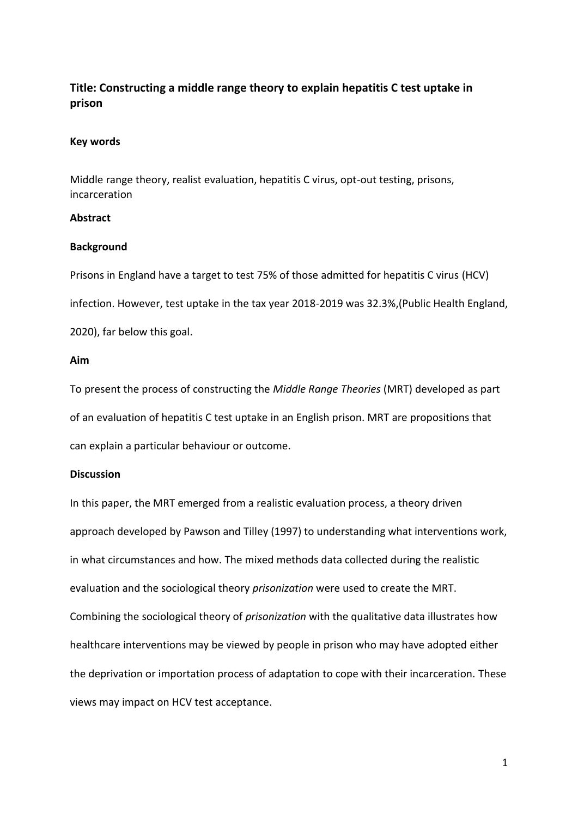# **Title: Constructing a middle range theory to explain hepatitis C test uptake in prison**

## **Key words**

Middle range theory, realist evaluation, hepatitis C virus, opt-out testing, prisons, incarceration

## **Abstract**

## **Background**

Prisons in England have a target to test 75% of those admitted for hepatitis C virus (HCV) infection. However, test uptake in the tax year 2018-2019 was 32.3%,(Public Health England, 2020), far below this goal.

## **Aim**

To present the process of constructing the *Middle Range Theories* (MRT) developed as part of an evaluation of hepatitis C test uptake in an English prison. MRT are propositions that can explain a particular behaviour or outcome.

## **Discussion**

In this paper, the MRT emerged from a realistic evaluation process, a theory driven approach developed by Pawson and Tilley (1997) to understanding what interventions work, in what circumstances and how. The mixed methods data collected during the realistic evaluation and the sociological theory *prisonization* were used to create the MRT. Combining the sociological theory of *prisonization* with the qualitative data illustrates how healthcare interventions may be viewed by people in prison who may have adopted either the deprivation or importation process of adaptation to cope with their incarceration. These views may impact on HCV test acceptance.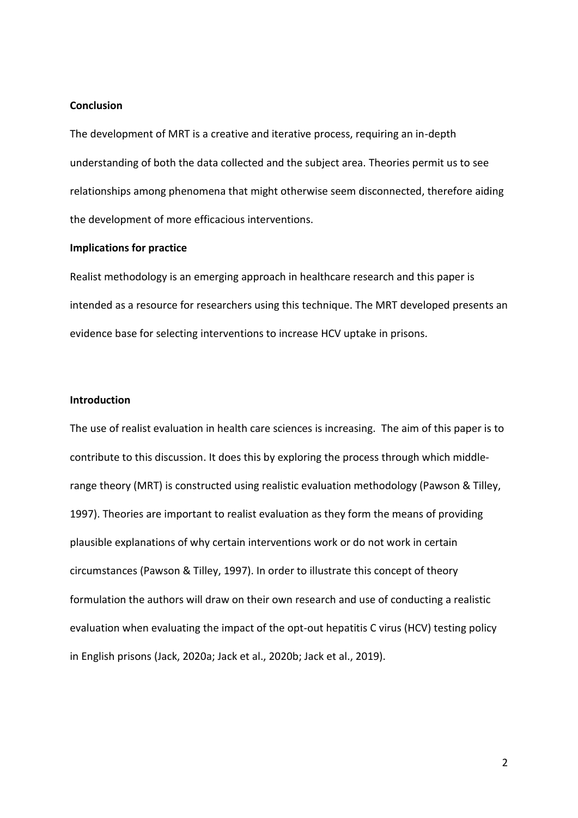## **Conclusion**

The development of MRT is a creative and iterative process, requiring an in-depth understanding of both the data collected and the subject area. Theories permit us to see relationships among phenomena that might otherwise seem disconnected, therefore aiding the development of more efficacious interventions.

#### **Implications for practice**

Realist methodology is an emerging approach in healthcare research and this paper is intended as a resource for researchers using this technique. The MRT developed presents an evidence base for selecting interventions to increase HCV uptake in prisons.

## **Introduction**

The use of realist evaluation in health care sciences is increasing. The aim of this paper is to contribute to this discussion. It does this by exploring the process through which middlerange theory (MRT) is constructed using realistic evaluation methodology (Pawson & Tilley, 1997). Theories are important to realist evaluation as they form the means of providing plausible explanations of why certain interventions work or do not work in certain circumstances (Pawson & Tilley, 1997). In order to illustrate this concept of theory formulation the authors will draw on their own research and use of conducting a realistic evaluation when evaluating the impact of the opt-out hepatitis C virus (HCV) testing policy in English prisons (Jack, 2020a; Jack et al., 2020b; Jack et al., 2019).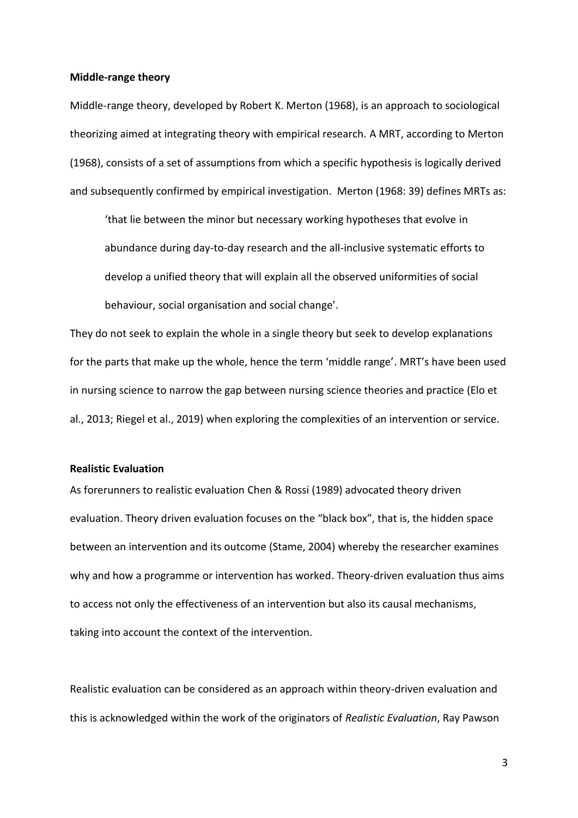#### **Middle-range theory**

Middle-range theory, developed by Robert K. Merton (1968), is an approach to sociological theorizing aimed at integrating theory with empirical research. A MRT, according to Merton (1968), consists of a set of assumptions from which a specific hypothesis is logically derived and subsequently confirmed by empirical investigation. Merton (1968: 39) defines MRTs as:

'that lie between the minor but necessary working hypotheses that evolve in abundance during day-to-day research and the all-inclusive systematic efforts to develop a unified theory that will explain all the observed uniformities of social behaviour, social organisation and social change'.

They do not seek to explain the whole in a single theory but seek to develop explanations for the parts that make up the whole, hence the term 'middle range'. MRT's have been used in nursing science to narrow the gap between nursing science theories and practice (Elo et al., 2013; Riegel et al., 2019) when exploring the complexities of an intervention or service.

#### **Realistic Evaluation**

As forerunners to realistic evaluation Chen & Rossi (1989) advocated theory driven evaluation. Theory driven evaluation focuses on the "black box", that is, the hidden space between an intervention and its outcome (Stame, 2004) whereby the researcher examines why and how a programme or intervention has worked. Theory-driven evaluation thus aims to access not only the effectiveness of an intervention but also its causal mechanisms, taking into account the context of the intervention.

Realistic evaluation can be considered as an approach within theory-driven evaluation and this is acknowledged within the work of the originators of *Realistic Evaluation*, Ray Pawson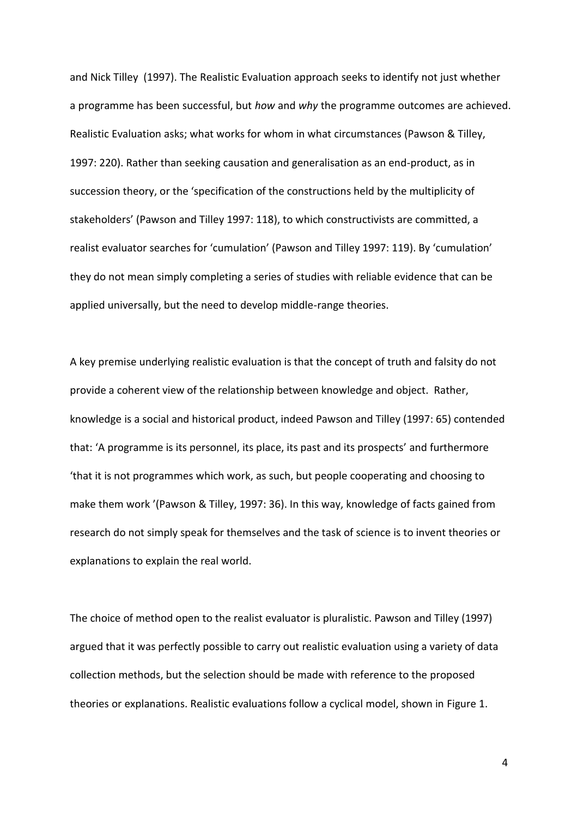and Nick Tilley (1997). The Realistic Evaluation approach seeks to identify not just whether a programme has been successful, but *how* and *why* the programme outcomes are achieved. Realistic Evaluation asks; what works for whom in what circumstances (Pawson & Tilley, 1997: 220). Rather than seeking causation and generalisation as an end-product, as in succession theory, or the 'specification of the constructions held by the multiplicity of stakeholders' (Pawson and Tilley 1997: 118), to which constructivists are committed, a realist evaluator searches for 'cumulation' (Pawson and Tilley 1997: 119). By 'cumulation' they do not mean simply completing a series of studies with reliable evidence that can be applied universally, but the need to develop middle-range theories.

A key premise underlying realistic evaluation is that the concept of truth and falsity do not provide a coherent view of the relationship between knowledge and object. Rather, knowledge is a social and historical product, indeed Pawson and Tilley (1997: 65) contended that: 'A programme is its personnel, its place, its past and its prospects' and furthermore 'that it is not programmes which work, as such, but people cooperating and choosing to make them work '(Pawson & Tilley, 1997: 36). In this way, knowledge of facts gained from research do not simply speak for themselves and the task of science is to invent theories or explanations to explain the real world.

The choice of method open to the realist evaluator is pluralistic. Pawson and Tilley (1997) argued that it was perfectly possible to carry out realistic evaluation using a variety of data collection methods, but the selection should be made with reference to the proposed theories or explanations. Realistic evaluations follow a cyclical model, shown in Figure 1.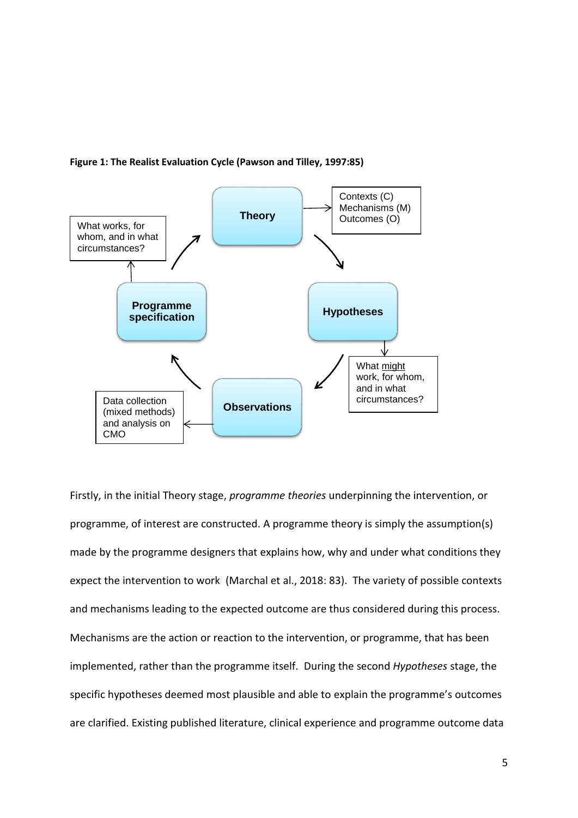

#### **Figure 1: The Realist Evaluation Cycle (Pawson and Tilley, 1997:85)**

Firstly, in the initial Theory stage, *programme theories* underpinning the intervention, or programme, of interest are constructed. A programme theory is simply the assumption(s) made by the programme designers that explains how, why and under what conditions they expect the intervention to work (Marchal et al., 2018: 83). The variety of possible contexts and mechanisms leading to the expected outcome are thus considered during this process. Mechanisms are the action or reaction to the intervention, or programme, that has been implemented, rather than the programme itself. During the second *Hypotheses* stage, the specific hypotheses deemed most plausible and able to explain the programme's outcomes are clarified. Existing published literature, clinical experience and programme outcome data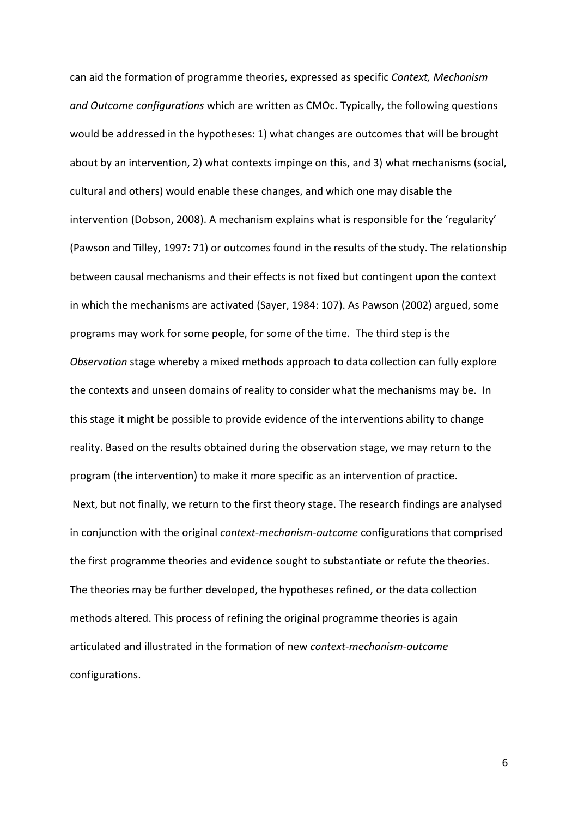can aid the formation of programme theories, expressed as specific *Context, Mechanism and Outcome configurations* which are written as CMOc. Typically, the following questions would be addressed in the hypotheses: 1) what changes are outcomes that will be brought about by an intervention, 2) what contexts impinge on this, and 3) what mechanisms (social, cultural and others) would enable these changes, and which one may disable the intervention (Dobson, 2008). A mechanism explains what is responsible for the 'regularity' (Pawson and Tilley, 1997: 71) or outcomes found in the results of the study. The relationship between causal mechanisms and their effects is not fixed but contingent upon the context in which the mechanisms are activated (Sayer, 1984: 107). As Pawson (2002) argued, some programs may work for some people, for some of the time. The third step is the *Observation* stage whereby a mixed methods approach to data collection can fully explore the contexts and unseen domains of reality to consider what the mechanisms may be. In this stage it might be possible to provide evidence of the interventions ability to change reality. Based on the results obtained during the observation stage, we may return to the program (the intervention) to make it more specific as an intervention of practice. Next, but not finally, we return to the first theory stage. The research findings are analysed in conjunction with the original *context-mechanism-outcome* configurations that comprised the first programme theories and evidence sought to substantiate or refute the theories. The theories may be further developed, the hypotheses refined, or the data collection methods altered. This process of refining the original programme theories is again articulated and illustrated in the formation of new *context-mechanism-outcome* configurations.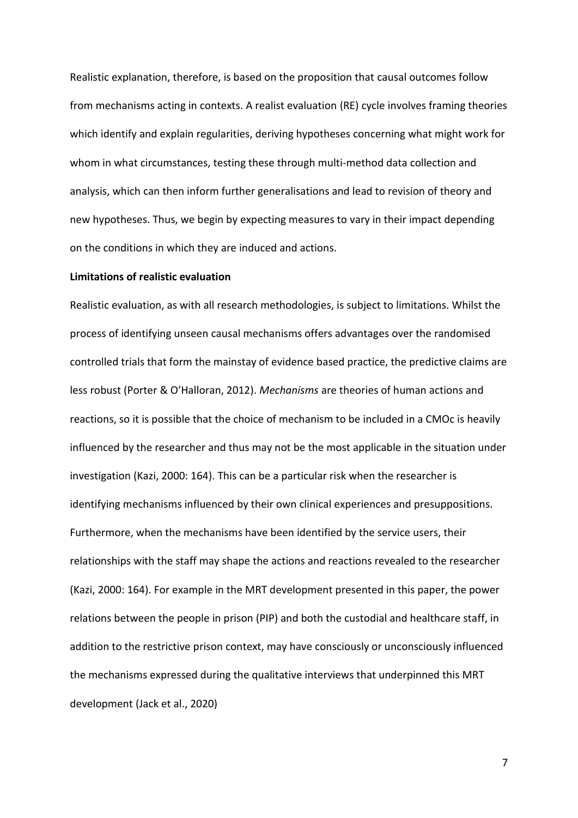Realistic explanation, therefore, is based on the proposition that causal outcomes follow from mechanisms acting in contexts. A realist evaluation (RE) cycle involves framing theories which identify and explain regularities, deriving hypotheses concerning what might work for whom in what circumstances, testing these through multi-method data collection and analysis, which can then inform further generalisations and lead to revision of theory and new hypotheses. Thus, we begin by expecting measures to vary in their impact depending on the conditions in which they are induced and actions.

### **Limitations of realistic evaluation**

Realistic evaluation, as with all research methodologies, is subject to limitations. Whilst the process of identifying unseen causal mechanisms offers advantages over the randomised controlled trials that form the mainstay of evidence based practice, the predictive claims are less robust (Porter & O'Halloran, 2012). *Mechanisms* are theories of human actions and reactions, so it is possible that the choice of mechanism to be included in a CMOc is heavily influenced by the researcher and thus may not be the most applicable in the situation under investigation (Kazi, 2000: 164). This can be a particular risk when the researcher is identifying mechanisms influenced by their own clinical experiences and presuppositions. Furthermore, when the mechanisms have been identified by the service users, their relationships with the staff may shape the actions and reactions revealed to the researcher (Kazi, 2000: 164). For example in the MRT development presented in this paper, the power relations between the people in prison (PIP) and both the custodial and healthcare staff, in addition to the restrictive prison context, may have consciously or unconsciously influenced the mechanisms expressed during the qualitative interviews that underpinned this MRT development (Jack et al., 2020)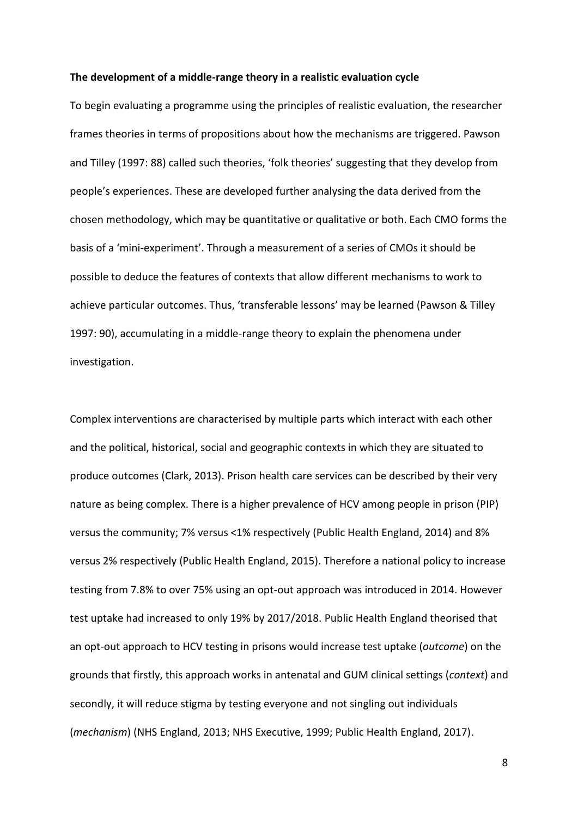#### **The development of a middle-range theory in a realistic evaluation cycle**

To begin evaluating a programme using the principles of realistic evaluation, the researcher frames theories in terms of propositions about how the mechanisms are triggered. Pawson and Tilley (1997: 88) called such theories, 'folk theories' suggesting that they develop from people's experiences. These are developed further analysing the data derived from the chosen methodology, which may be quantitative or qualitative or both. Each CMO forms the basis of a 'mini-experiment'. Through a measurement of a series of CMOs it should be possible to deduce the features of contexts that allow different mechanisms to work to achieve particular outcomes. Thus, 'transferable lessons' may be learned (Pawson & Tilley 1997: 90), accumulating in a middle-range theory to explain the phenomena under investigation.

Complex interventions are characterised by multiple parts which interact with each other and the political, historical, social and geographic contexts in which they are situated to produce outcomes (Clark, 2013). Prison health care services can be described by their very nature as being complex. There is a higher prevalence of HCV among people in prison (PIP) versus the community; 7% versus <1% respectively (Public Health England, 2014) and 8% versus 2% respectively (Public Health England, 2015). Therefore a national policy to increase testing from 7.8% to over 75% using an opt-out approach was introduced in 2014. However test uptake had increased to only 19% by 2017/2018. Public Health England theorised that an opt-out approach to HCV testing in prisons would increase test uptake (*outcome*) on the grounds that firstly, this approach works in antenatal and GUM clinical settings (*context*) and secondly, it will reduce stigma by testing everyone and not singling out individuals (*mechanism*) (NHS England, 2013; NHS Executive, 1999; Public Health England, 2017).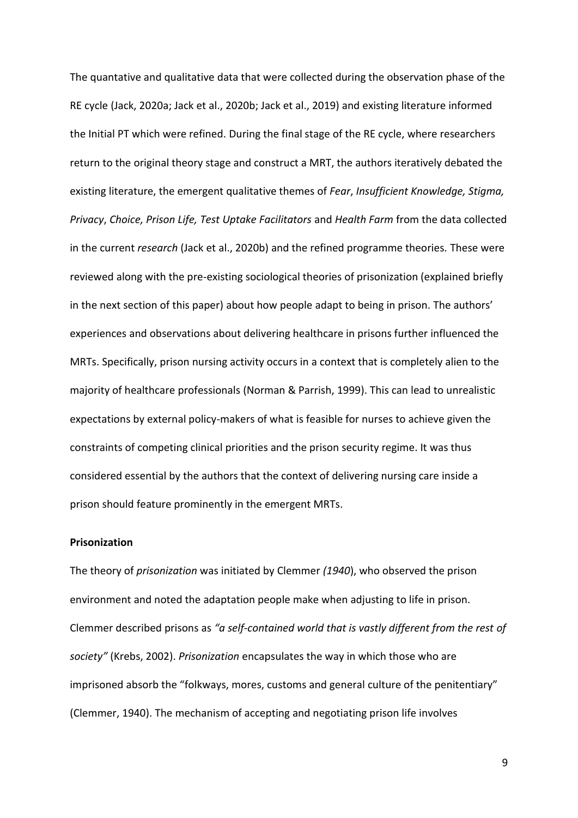The quantative and qualitative data that were collected during the observation phase of the RE cycle (Jack, 2020a; Jack et al., 2020b; Jack et al., 2019) and existing literature informed the Initial PT which were refined. During the final stage of the RE cycle, where researchers return to the original theory stage and construct a MRT, the authors iteratively debated the existing literature, the emergent qualitative themes of *Fear*, *Insufficient Knowledge, Stigma, Privacy*, *Choice, Prison Life, Test Uptake Facilitators* and *Health Farm* from the data collected in the current *research* (Jack et al., 2020b) and the refined programme theories*.* These were reviewed along with the pre-existing sociological theories of prisonization (explained briefly in the next section of this paper) about how people adapt to being in prison. The authors' experiences and observations about delivering healthcare in prisons further influenced the MRTs. Specifically, prison nursing activity occurs in a context that is completely alien to the majority of healthcare professionals (Norman & Parrish, 1999). This can lead to unrealistic expectations by external policy-makers of what is feasible for nurses to achieve given the constraints of competing clinical priorities and the prison security regime. It was thus considered essential by the authors that the context of delivering nursing care inside a prison should feature prominently in the emergent MRTs.

## **Prisonization**

The theory of *prisonization* was initiated by Clemmer *(1940*), who observed the prison environment and noted the adaptation people make when adjusting to life in prison. Clemmer described prisons as *"a self-contained world that is vastly different from the rest of society"* (Krebs, 2002). *Prisonization* encapsulates the way in which those who are imprisoned absorb the "folkways, mores, customs and general culture of the penitentiary" (Clemmer, 1940). The mechanism of accepting and negotiating prison life involves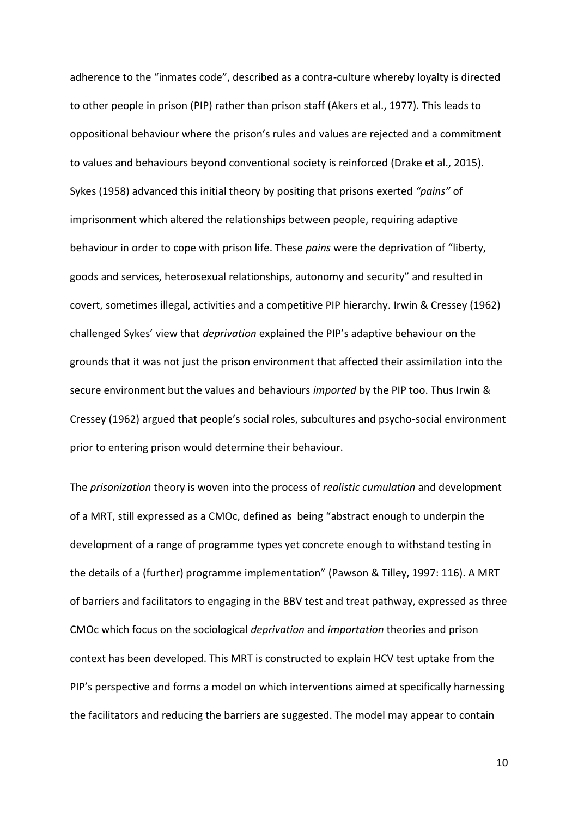adherence to the "inmates code", described as a contra-culture whereby loyalty is directed to other people in prison (PIP) rather than prison staff (Akers et al., 1977). This leads to oppositional behaviour where the prison's rules and values are rejected and a commitment to values and behaviours beyond conventional society is reinforced (Drake et al., 2015). Sykes (1958) advanced this initial theory by positing that prisons exerted *"pains"* of imprisonment which altered the relationships between people, requiring adaptive behaviour in order to cope with prison life. These *pains* were the deprivation of "liberty, goods and services, heterosexual relationships, autonomy and security" and resulted in covert, sometimes illegal, activities and a competitive PIP hierarchy. Irwin & Cressey (1962) challenged Sykes' view that *deprivation* explained the PIP's adaptive behaviour on the grounds that it was not just the prison environment that affected their assimilation into the secure environment but the values and behaviours *imported* by the PIP too. Thus Irwin & Cressey (1962) argued that people's social roles, subcultures and psycho-social environment prior to entering prison would determine their behaviour.

The *prisonization* theory is woven into the process of *realistic cumulation* and development of a MRT, still expressed as a CMOc, defined as being "abstract enough to underpin the development of a range of programme types yet concrete enough to withstand testing in the details of a (further) programme implementation" (Pawson & Tilley, 1997: 116). A MRT of barriers and facilitators to engaging in the BBV test and treat pathway, expressed as three CMOc which focus on the sociological *deprivation* and *importation* theories and prison context has been developed. This MRT is constructed to explain HCV test uptake from the PIP's perspective and forms a model on which interventions aimed at specifically harnessing the facilitators and reducing the barriers are suggested. The model may appear to contain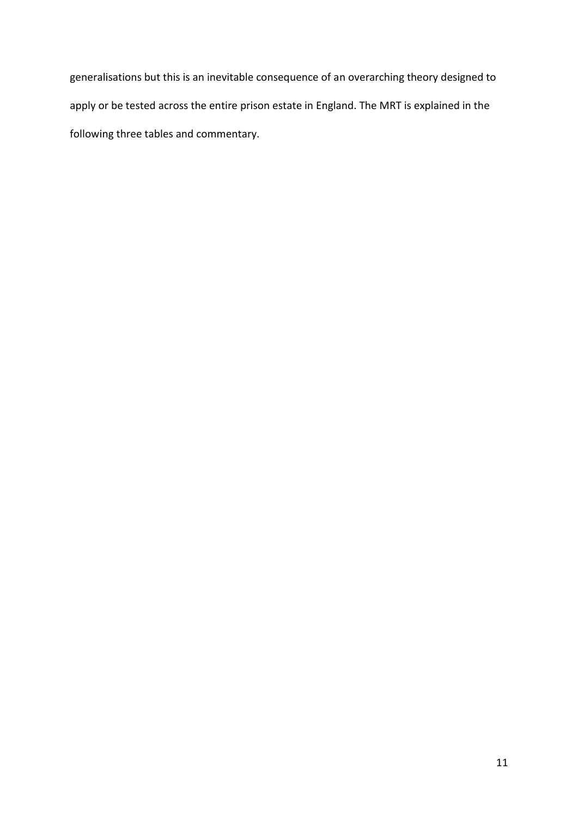generalisations but this is an inevitable consequence of an overarching theory designed to apply or be tested across the entire prison estate in England. The MRT is explained in the following three tables and commentary.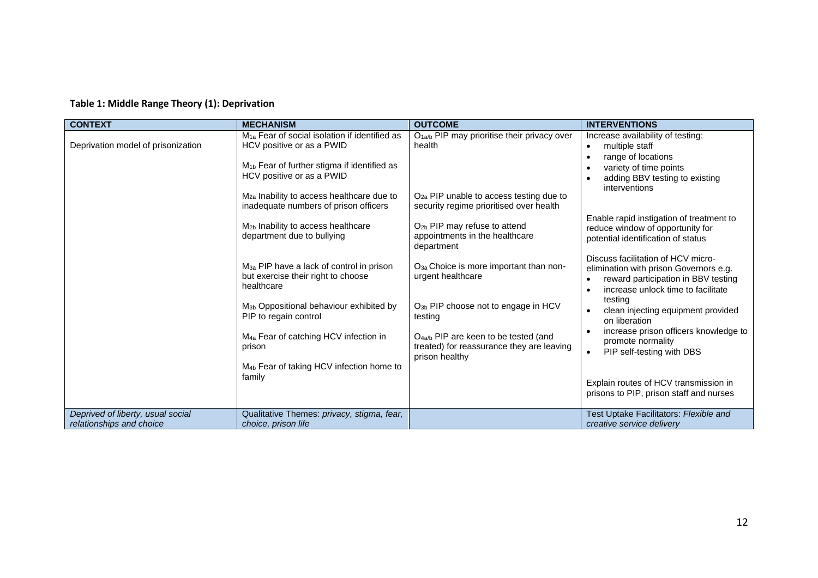# **Table 1: Middle Range Theory (1): Deprivation**

| <b>CONTEXT</b>                                                | <b>MECHANISM</b>                                                                                                                                                                       | <b>OUTCOME</b>                                                                                                  | <b>INTERVENTIONS</b>                                                                                                                                      |
|---------------------------------------------------------------|----------------------------------------------------------------------------------------------------------------------------------------------------------------------------------------|-----------------------------------------------------------------------------------------------------------------|-----------------------------------------------------------------------------------------------------------------------------------------------------------|
| Deprivation model of prisonization                            | M <sub>1a</sub> Fear of social isolation if identified as<br>HCV positive or as a PWID                                                                                                 | O <sub>1a/b</sub> PIP may prioritise their privacy over<br>health                                               | Increase availability of testing:<br>multiple staff<br>range of locations                                                                                 |
|                                                               | M <sub>1b</sub> Fear of further stigma if identified as<br>HCV positive or as a PWID<br>M <sub>2a</sub> Inability to access healthcare due to<br>inadequate numbers of prison officers | O <sub>2a</sub> PIP unable to access testing due to<br>security regime prioritised over health                  | variety of time points<br>adding BBV testing to existing<br>interventions                                                                                 |
|                                                               | M <sub>2b</sub> Inability to access healthcare<br>department due to bullying                                                                                                           | O <sub>2b</sub> PIP may refuse to attend<br>appointments in the healthcare<br>department                        | Enable rapid instigation of treatment to<br>reduce window of opportunity for<br>potential identification of status                                        |
|                                                               | M <sub>3a</sub> PIP have a lack of control in prison<br>but exercise their right to choose<br>healthcare                                                                               | O <sub>3a</sub> Choice is more important than non-<br>urgent healthcare                                         | Discuss facilitation of HCV micro-<br>elimination with prison Governors e.g.<br>reward participation in BBV testing<br>increase unlock time to facilitate |
|                                                               | M <sub>3b</sub> Oppositional behaviour exhibited by<br>PIP to regain control                                                                                                           | O <sub>3b</sub> PIP choose not to engage in HCV<br>testing                                                      | testing<br>clean injecting equipment provided<br>on liberation                                                                                            |
|                                                               | M <sub>4a</sub> Fear of catching HCV infection in<br>prison                                                                                                                            | O <sub>4a/b</sub> PIP are keen to be tested (and<br>treated) for reassurance they are leaving<br>prison healthy | increase prison officers knowledge to<br>promote normality<br>PIP self-testing with DBS                                                                   |
|                                                               | M <sub>4b</sub> Fear of taking HCV infection home to<br>family                                                                                                                         |                                                                                                                 | Explain routes of HCV transmission in<br>prisons to PIP, prison staff and nurses                                                                          |
| Deprived of liberty, usual social<br>relationships and choice | Qualitative Themes: privacy, stigma, fear,<br>choice, prison life                                                                                                                      |                                                                                                                 | Test Uptake Facilitators: Flexible and<br>creative service delivery                                                                                       |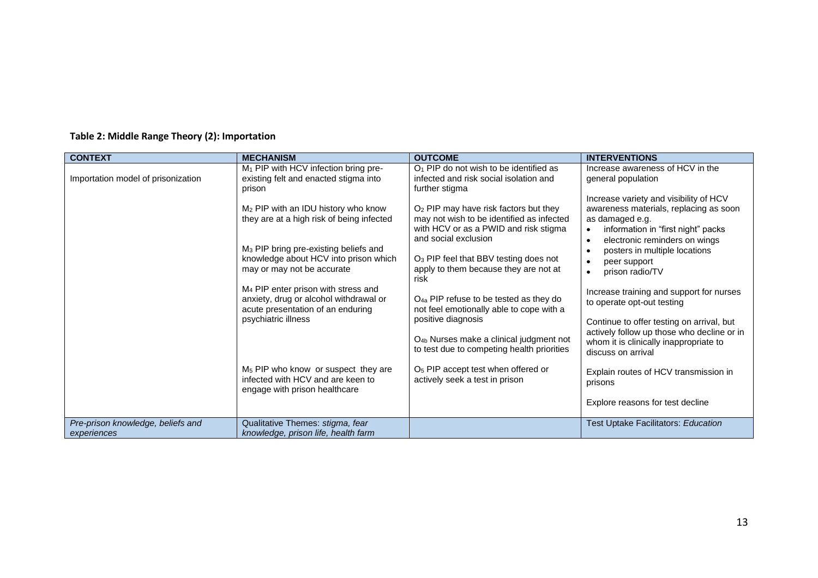| <b>CONTEXT</b>                                   | <b>MECHANISM</b>                                                                                                                                  | <b>OUTCOME</b>                                                                                                                                                  | <b>INTERVENTIONS</b>                                                                                                                                                       |
|--------------------------------------------------|---------------------------------------------------------------------------------------------------------------------------------------------------|-----------------------------------------------------------------------------------------------------------------------------------------------------------------|----------------------------------------------------------------------------------------------------------------------------------------------------------------------------|
| Importation model of prisonization               | M <sub>1</sub> PIP with HCV infection bring pre-<br>existing felt and enacted stigma into<br>prison                                               | $O1$ PIP do not wish to be identified as<br>infected and risk social isolation and<br>further stigma                                                            | Increase awareness of HCV in the<br>general population                                                                                                                     |
|                                                  | M <sub>2</sub> PIP with an IDU history who know<br>they are at a high risk of being infected<br>M <sub>3</sub> PIP bring pre-existing beliefs and | O <sub>2</sub> PIP may have risk factors but they<br>may not wish to be identified as infected<br>with HCV or as a PWID and risk stigma<br>and social exclusion | Increase variety and visibility of HCV<br>awareness materials, replacing as soon<br>as damaged e.g.<br>information in "first night" packs<br>electronic reminders on wings |
|                                                  | knowledge about HCV into prison which<br>may or may not be accurate                                                                               | O <sub>3</sub> PIP feel that BBV testing does not<br>apply to them because they are not at<br>risk                                                              | posters in multiple locations<br>peer support<br>prison radio/TV                                                                                                           |
|                                                  | M <sub>4</sub> PIP enter prison with stress and<br>anxiety, drug or alcohol withdrawal or<br>acute presentation of an enduring                    | $O_{4a}$ PIP refuse to be tested as they do<br>not feel emotionally able to cope with a                                                                         | Increase training and support for nurses<br>to operate opt-out testing                                                                                                     |
|                                                  | psychiatric illness                                                                                                                               | positive diagnosis<br>O <sub>4b</sub> Nurses make a clinical judgment not                                                                                       | Continue to offer testing on arrival, but<br>actively follow up those who decline or in<br>whom it is clinically inappropriate to                                          |
|                                                  |                                                                                                                                                   | to test due to competing health priorities                                                                                                                      | discuss on arrival                                                                                                                                                         |
|                                                  | M <sub>5</sub> PIP who know or suspect they are<br>infected with HCV and are keen to<br>engage with prison healthcare                             | O <sub>5</sub> PIP accept test when offered or<br>actively seek a test in prison                                                                                | Explain routes of HCV transmission in<br>prisons                                                                                                                           |
|                                                  |                                                                                                                                                   |                                                                                                                                                                 | Explore reasons for test decline                                                                                                                                           |
| Pre-prison knowledge, beliefs and<br>experiences | Qualitative Themes: stigma, fear<br>knowledge, prison life, health farm                                                                           |                                                                                                                                                                 | Test Uptake Facilitators: Education                                                                                                                                        |

# **Table 2: Middle Range Theory (2): Importation**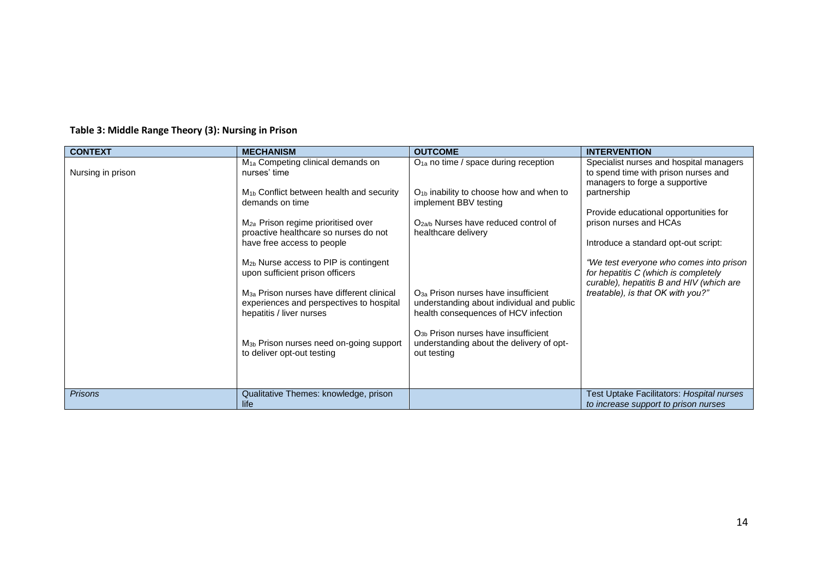| <b>CONTEXT</b>    | <b>MECHANISM</b>                                                                                                              | <b>OUTCOME</b>                                                                                                                | <b>INTERVENTION</b>                                                                                                         |
|-------------------|-------------------------------------------------------------------------------------------------------------------------------|-------------------------------------------------------------------------------------------------------------------------------|-----------------------------------------------------------------------------------------------------------------------------|
| Nursing in prison | M <sub>1a</sub> Competing clinical demands on<br>nurses' time                                                                 | O <sub>1a</sub> no time / space during reception                                                                              | Specialist nurses and hospital managers<br>to spend time with prison nurses and<br>managers to forge a supportive           |
|                   | M <sub>1b</sub> Conflict between health and security<br>demands on time                                                       | $O_{1b}$ inability to choose how and when to<br>implement BBV testing                                                         | partnership<br>Provide educational opportunities for                                                                        |
|                   | M <sub>2a</sub> Prison regime prioritised over<br>proactive healthcare so nurses do not                                       | O <sub>2a/b</sub> Nurses have reduced control of<br>healthcare delivery                                                       | prison nurses and HCAs                                                                                                      |
|                   | have free access to people                                                                                                    |                                                                                                                               | Introduce a standard opt-out script:                                                                                        |
|                   | M <sub>2b</sub> Nurse access to PIP is contingent<br>upon sufficient prison officers                                          |                                                                                                                               | "We test everyone who comes into prison<br>for hepatitis C (which is completely<br>curable), hepatitis B and HIV (which are |
|                   | M <sub>3a</sub> Prison nurses have different clinical<br>experiences and perspectives to hospital<br>hepatitis / liver nurses | $O_{3a}$ Prison nurses have insufficient<br>understanding about individual and public<br>health consequences of HCV infection | treatable), is that OK with you?"                                                                                           |
|                   | M <sub>3b</sub> Prison nurses need on-going support<br>to deliver opt-out testing                                             | O <sub>3b</sub> Prison nurses have insufficient<br>understanding about the delivery of opt-<br>out testing                    |                                                                                                                             |
|                   |                                                                                                                               |                                                                                                                               |                                                                                                                             |
| <b>Prisons</b>    | Qualitative Themes: knowledge, prison<br>life                                                                                 |                                                                                                                               | Test Uptake Facilitators: Hospital nurses<br>to increase support to prison nurses                                           |

# **Table 3: Middle Range Theory (3): Nursing in Prison**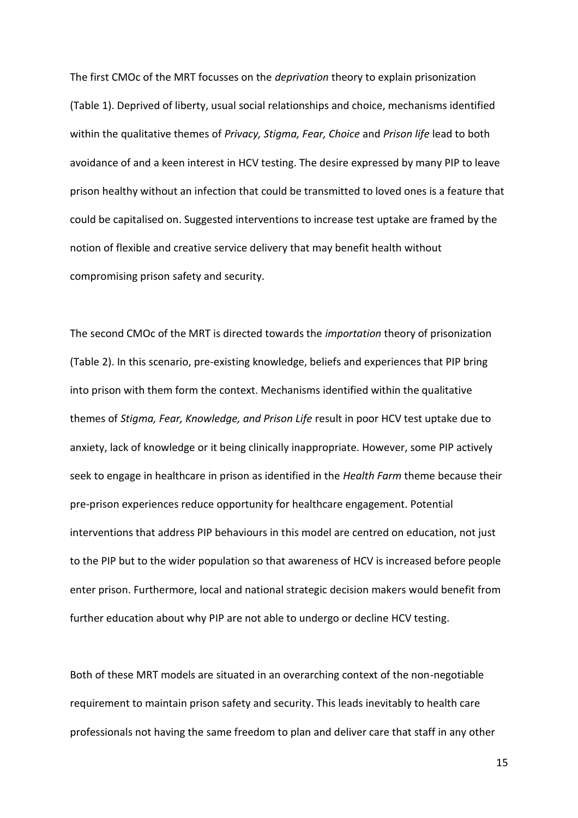The first CMOc of the MRT focusses on the *deprivation* theory to explain prisonization (Table 1). Deprived of liberty, usual social relationships and choice, mechanisms identified within the qualitative themes of *Privacy, Stigma, Fear, Choice* and *Prison life* lead to both avoidance of and a keen interest in HCV testing. The desire expressed by many PIP to leave prison healthy without an infection that could be transmitted to loved ones is a feature that could be capitalised on. Suggested interventions to increase test uptake are framed by the notion of flexible and creative service delivery that may benefit health without compromising prison safety and security.

The second CMOc of the MRT is directed towards the *importation* theory of prisonization (Table 2). In this scenario, pre-existing knowledge, beliefs and experiences that PIP bring into prison with them form the context. Mechanisms identified within the qualitative themes of *Stigma, Fear, Knowledge, and Prison Life* result in poor HCV test uptake due to anxiety, lack of knowledge or it being clinically inappropriate. However, some PIP actively seek to engage in healthcare in prison as identified in the *Health Farm* theme because their pre-prison experiences reduce opportunity for healthcare engagement. Potential interventions that address PIP behaviours in this model are centred on education, not just to the PIP but to the wider population so that awareness of HCV is increased before people enter prison. Furthermore, local and national strategic decision makers would benefit from further education about why PIP are not able to undergo or decline HCV testing.

Both of these MRT models are situated in an overarching context of the non-negotiable requirement to maintain prison safety and security. This leads inevitably to health care professionals not having the same freedom to plan and deliver care that staff in any other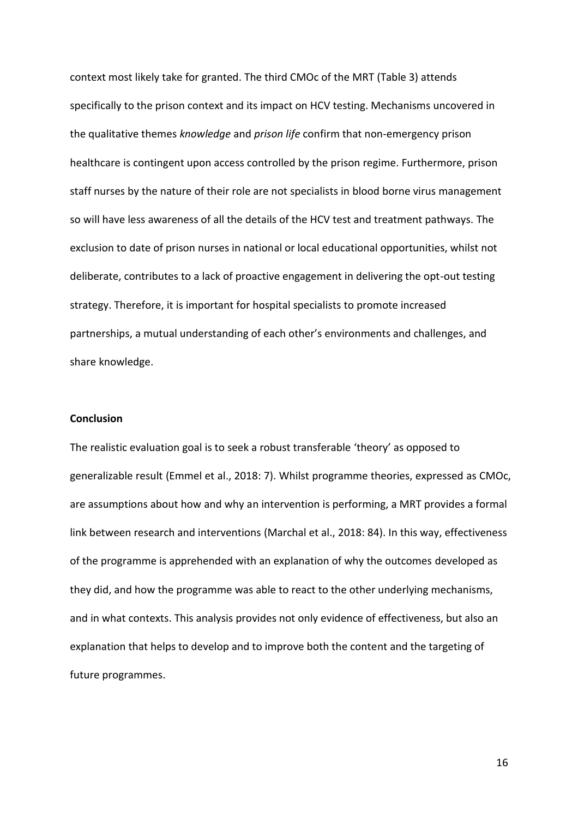context most likely take for granted. The third CMOc of the MRT (Table 3) attends specifically to the prison context and its impact on HCV testing. Mechanisms uncovered in the qualitative themes *knowledge* and *prison life* confirm that non-emergency prison healthcare is contingent upon access controlled by the prison regime. Furthermore, prison staff nurses by the nature of their role are not specialists in blood borne virus management so will have less awareness of all the details of the HCV test and treatment pathways. The exclusion to date of prison nurses in national or local educational opportunities, whilst not deliberate, contributes to a lack of proactive engagement in delivering the opt-out testing strategy. Therefore, it is important for hospital specialists to promote increased partnerships, a mutual understanding of each other's environments and challenges, and share knowledge.

## **Conclusion**

The realistic evaluation goal is to seek a robust transferable 'theory' as opposed to generalizable result (Emmel et al., 2018: 7). Whilst programme theories, expressed as CMOc, are assumptions about how and why an intervention is performing, a MRT provides a formal link between research and interventions (Marchal et al., 2018: 84). In this way, effectiveness of the programme is apprehended with an explanation of why the outcomes developed as they did, and how the programme was able to react to the other underlying mechanisms, and in what contexts. This analysis provides not only evidence of effectiveness, but also an explanation that helps to develop and to improve both the content and the targeting of future programmes.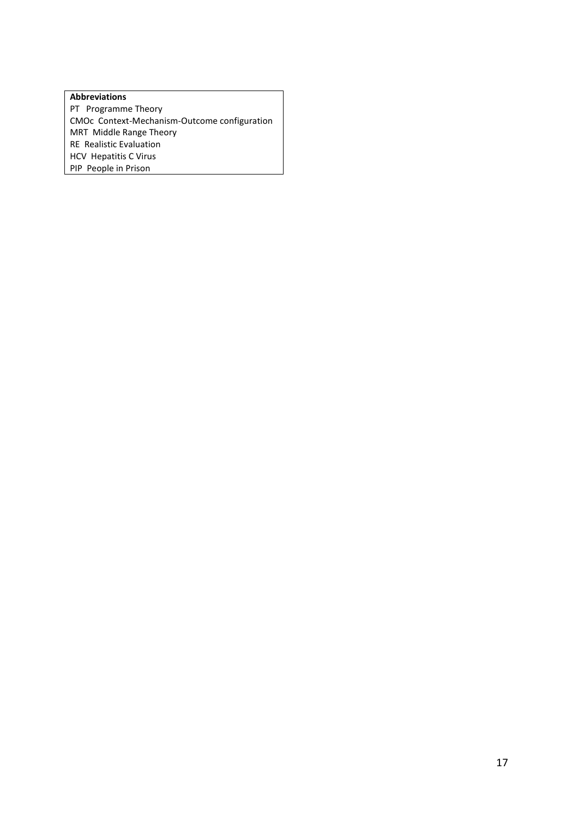### **Abbreviations**

PT Programme Theory CMOc Context-Mechanism-Outcome configuration MRT Middle Range Theory RE Realistic Evaluation HCV Hepatitis C Virus PIP People in Prison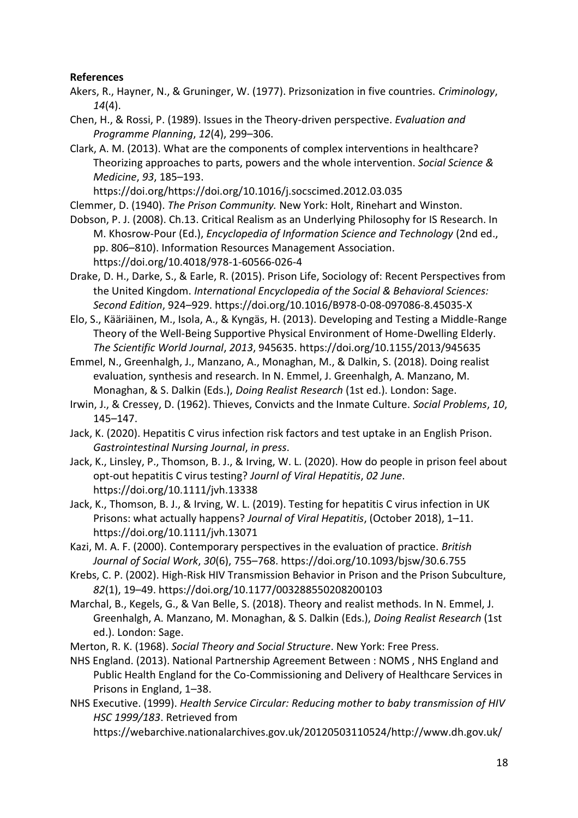# **References**

- Akers, R., Hayner, N., & Gruninger, W. (1977). Prizsonization in five countries. *Criminology*, *14*(4).
- Chen, H., & Rossi, P. (1989). Issues in the Theory-driven perspective. *Evaluation and Programme Planning*, *12*(4), 299–306.
- Clark, A. M. (2013). What are the components of complex interventions in healthcare? Theorizing approaches to parts, powers and the whole intervention. *Social Science & Medicine*, *93*, 185–193.

https://doi.org/https://doi.org/10.1016/j.socscimed.2012.03.035

Clemmer, D. (1940). *The Prison Community.* New York: Holt, Rinehart and Winston.

- Dobson, P. J. (2008). Ch.13. Critical Realism as an Underlying Philosophy for IS Research. In M. Khosrow-Pour (Ed.), *Encyclopedia of Information Science and Technology* (2nd ed., pp. 806–810). Information Resources Management Association. https://doi.org/10.4018/978-1-60566-026-4
- Drake, D. H., Darke, S., & Earle, R. (2015). Prison Life, Sociology of: Recent Perspectives from the United Kingdom. *International Encyclopedia of the Social & Behavioral Sciences: Second Edition*, 924–929. https://doi.org/10.1016/B978-0-08-097086-8.45035-X
- Elo, S., Kääriäinen, M., Isola, A., & Kyngäs, H. (2013). Developing and Testing a Middle-Range Theory of the Well-Being Supportive Physical Environment of Home-Dwelling Elderly. *The Scientific World Journal*, *2013*, 945635. https://doi.org/10.1155/2013/945635
- Emmel, N., Greenhalgh, J., Manzano, A., Monaghan, M., & Dalkin, S. (2018). Doing realist evaluation, synthesis and research. In N. Emmel, J. Greenhalgh, A. Manzano, M. Monaghan, & S. Dalkin (Eds.), *Doing Realist Research* (1st ed.). London: Sage.
- Irwin, J., & Cressey, D. (1962). Thieves, Convicts and the Inmate Culture. *Social Problems*, *10*, 145–147.
- Jack, K. (2020). Hepatitis C virus infection risk factors and test uptake in an English Prison. *Gastrointestinal Nursing Journal*, *in press*.
- Jack, K., Linsley, P., Thomson, B. J., & Irving, W. L. (2020). How do people in prison feel about opt-out hepatitis C virus testing? *Journl of Viral Hepatitis*, *02 June*. https://doi.org/10.1111/jvh.13338
- Jack, K., Thomson, B. J., & Irving, W. L. (2019). Testing for hepatitis C virus infection in UK Prisons: what actually happens? *Journal of Viral Hepatitis*, (October 2018), 1–11. https://doi.org/10.1111/jvh.13071
- Kazi, M. A. F. (2000). Contemporary perspectives in the evaluation of practice. *British Journal of Social Work*, *30*(6), 755–768. https://doi.org/10.1093/bjsw/30.6.755
- Krebs, C. P. (2002). High-Risk HIV Transmission Behavior in Prison and the Prison Subculture, *82*(1), 19–49. https://doi.org/10.1177/003288550208200103
- Marchal, B., Kegels, G., & Van Belle, S. (2018). Theory and realist methods. In N. Emmel, J. Greenhalgh, A. Manzano, M. Monaghan, & S. Dalkin (Eds.), *Doing Realist Research* (1st ed.). London: Sage.
- Merton, R. K. (1968). *Social Theory and Social Structure*. New York: Free Press.
- NHS England. (2013). National Partnership Agreement Between : NOMS , NHS England and Public Health England for the Co-Commissioning and Delivery of Healthcare Services in Prisons in England, 1–38.
- NHS Executive. (1999). *Health Service Circular: Reducing mother to baby transmission of HIV HSC 1999/183*. Retrieved from

https://webarchive.nationalarchives.gov.uk/20120503110524/http://www.dh.gov.uk/